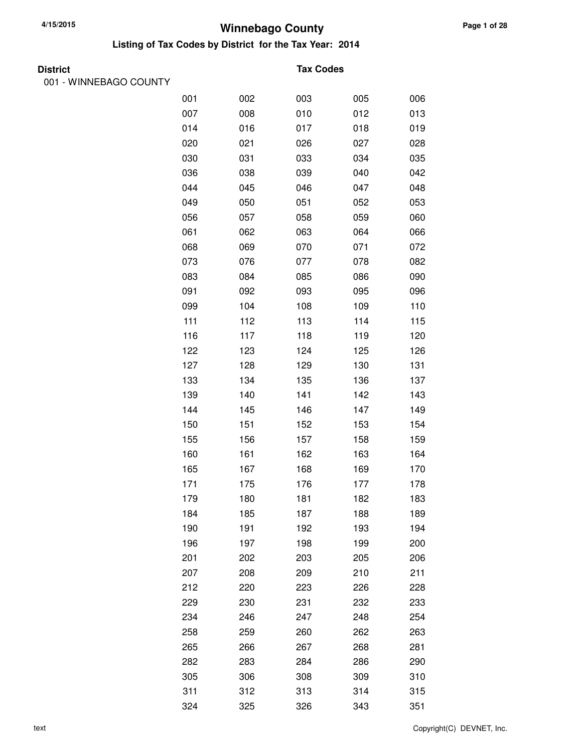**Listing of Tax Codes by District for the Tax Year: 2014**

001 - WINNEBAGO COUNTY

#### **Tax Codes**

| 001 | 002 | 003 | 005 | 006 |
|-----|-----|-----|-----|-----|
| 007 | 008 | 010 | 012 | 013 |
| 014 | 016 | 017 | 018 | 019 |
| 020 | 021 | 026 | 027 | 028 |
| 030 | 031 | 033 | 034 | 035 |
| 036 | 038 | 039 | 040 | 042 |
| 044 | 045 | 046 | 047 | 048 |
| 049 | 050 | 051 | 052 | 053 |
| 056 | 057 | 058 | 059 | 060 |
| 061 | 062 | 063 | 064 | 066 |
| 068 | 069 | 070 | 071 | 072 |
| 073 | 076 | 077 | 078 | 082 |
| 083 | 084 | 085 | 086 | 090 |
| 091 | 092 | 093 | 095 | 096 |
| 099 | 104 | 108 | 109 | 110 |
| 111 | 112 | 113 | 114 | 115 |
| 116 | 117 | 118 | 119 | 120 |
| 122 | 123 | 124 | 125 | 126 |
| 127 | 128 | 129 | 130 | 131 |
| 133 | 134 | 135 | 136 | 137 |
| 139 | 140 | 141 | 142 | 143 |
| 144 | 145 | 146 | 147 | 149 |
| 150 | 151 | 152 | 153 | 154 |
| 155 | 156 | 157 | 158 | 159 |
| 160 | 161 | 162 | 163 | 164 |
| 165 | 167 | 168 | 169 | 170 |
| 171 | 175 | 176 | 177 | 178 |
| 179 | 180 | 181 | 182 | 183 |
| 184 | 185 | 187 | 188 | 189 |
| 190 | 191 | 192 | 193 | 194 |
| 196 | 197 | 198 | 199 | 200 |
| 201 | 202 | 203 | 205 | 206 |
| 207 | 208 | 209 | 210 | 211 |
| 212 | 220 | 223 | 226 | 228 |
| 229 | 230 | 231 | 232 | 233 |
| 234 | 246 | 247 | 248 | 254 |
| 258 | 259 | 260 | 262 | 263 |
| 265 | 266 | 267 | 268 | 281 |
| 282 | 283 | 284 | 286 | 290 |
| 305 | 306 | 308 | 309 | 310 |
| 311 | 312 | 313 | 314 | 315 |
| 324 | 325 | 326 | 343 | 351 |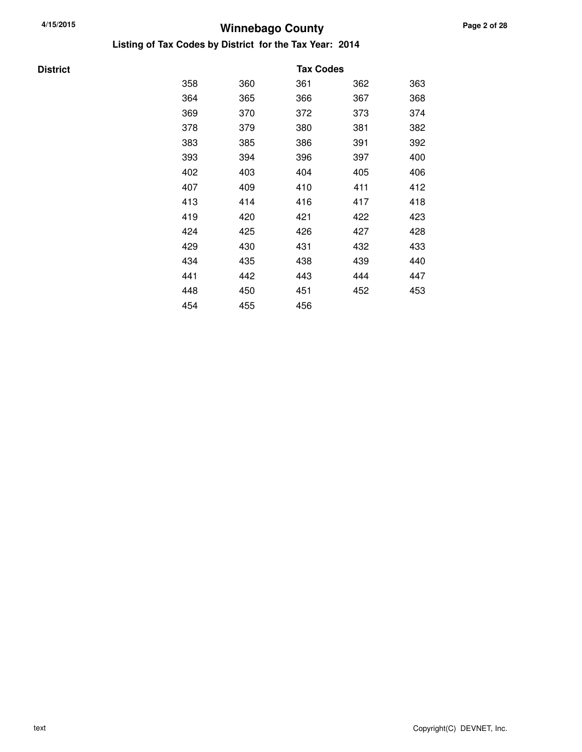**Listing of Tax Codes by District for the Tax Year: 2014**

### **District Tax Codes** 358 360 361 362 363 364 365 366 367 368 369 370 372 373 374 378 379 380 381 382 383 385 386 391 392 393 394 396 397 400 402 403 404 405 406 407 409 410 411 412 413 414 416 417 418 419 420 421 422 423 424 425 426 427 428 429 430 431 432 433 434 435 438 439 440 441 442 443 444 447 448 450 451 452 453 454 455 456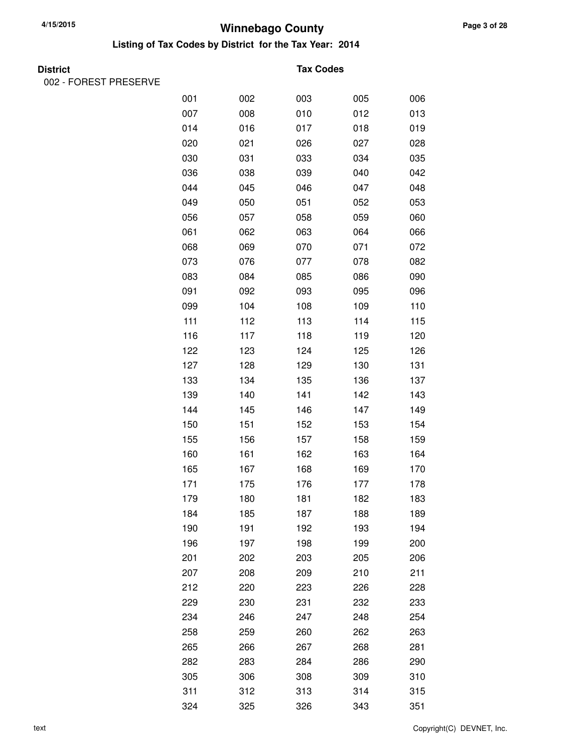**Listing of Tax Codes by District for the Tax Year: 2014**

| M.<br>۰,<br>× |
|---------------|
|---------------|

002 - FOREST PRESERVE

#### **Tax Codes**

| 001 | 002 | 003 | 005 | 006 |
|-----|-----|-----|-----|-----|
| 007 | 008 | 010 | 012 | 013 |
| 014 | 016 | 017 | 018 | 019 |
| 020 | 021 | 026 | 027 | 028 |
| 030 | 031 | 033 | 034 | 035 |
| 036 | 038 | 039 | 040 | 042 |
| 044 | 045 | 046 | 047 | 048 |
| 049 | 050 | 051 | 052 | 053 |
| 056 | 057 | 058 | 059 | 060 |
| 061 | 062 | 063 | 064 | 066 |
| 068 | 069 | 070 | 071 | 072 |
| 073 | 076 | 077 | 078 | 082 |
| 083 | 084 | 085 | 086 | 090 |
| 091 | 092 | 093 | 095 | 096 |
| 099 | 104 | 108 | 109 | 110 |
| 111 | 112 | 113 | 114 | 115 |
| 116 | 117 | 118 | 119 | 120 |
| 122 | 123 | 124 | 125 | 126 |
| 127 | 128 | 129 | 130 | 131 |
| 133 | 134 | 135 | 136 | 137 |
| 139 | 140 | 141 | 142 | 143 |
| 144 | 145 | 146 | 147 | 149 |
| 150 | 151 | 152 | 153 | 154 |
| 155 | 156 | 157 | 158 | 159 |
| 160 | 161 | 162 | 163 | 164 |
| 165 | 167 | 168 | 169 | 170 |
| 171 | 175 | 176 | 177 | 178 |
| 179 | 180 | 181 | 182 | 183 |
| 184 | 185 | 187 | 188 | 189 |
| 190 | 191 | 192 | 193 | 194 |
| 196 | 197 | 198 | 199 | 200 |
| 201 | 202 | 203 | 205 | 206 |
| 207 | 208 | 209 | 210 | 211 |
| 212 | 220 | 223 | 226 | 228 |
| 229 | 230 | 231 | 232 | 233 |
| 234 | 246 | 247 | 248 | 254 |
| 258 | 259 | 260 | 262 | 263 |
| 265 | 266 | 267 | 268 | 281 |
| 282 | 283 | 284 | 286 | 290 |
| 305 | 306 | 308 | 309 | 310 |
| 311 | 312 | 313 | 314 | 315 |
| 324 | 325 | 326 | 343 | 351 |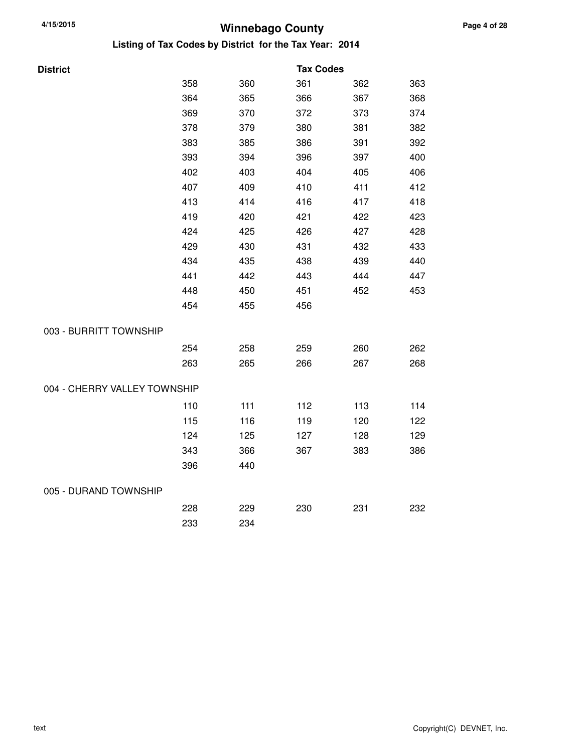| District                     |     |     | <b>Tax Codes</b> |     |     |
|------------------------------|-----|-----|------------------|-----|-----|
|                              | 358 | 360 | 361              | 362 | 363 |
|                              | 364 | 365 | 366              | 367 | 368 |
|                              | 369 | 370 | 372              | 373 | 374 |
|                              | 378 | 379 | 380              | 381 | 382 |
|                              | 383 | 385 | 386              | 391 | 392 |
|                              | 393 | 394 | 396              | 397 | 400 |
|                              | 402 | 403 | 404              | 405 | 406 |
|                              | 407 | 409 | 410              | 411 | 412 |
|                              | 413 | 414 | 416              | 417 | 418 |
|                              | 419 | 420 | 421              | 422 | 423 |
|                              | 424 | 425 | 426              | 427 | 428 |
|                              | 429 | 430 | 431              | 432 | 433 |
|                              | 434 | 435 | 438              | 439 | 440 |
|                              | 441 | 442 | 443              | 444 | 447 |
|                              | 448 | 450 | 451              | 452 | 453 |
|                              | 454 | 455 | 456              |     |     |
| 003 - BURRITT TOWNSHIP       |     |     |                  |     |     |
|                              | 254 | 258 | 259              | 260 | 262 |
|                              | 263 | 265 | 266              | 267 | 268 |
| 004 - CHERRY VALLEY TOWNSHIP |     |     |                  |     |     |
|                              | 110 | 111 | 112              | 113 | 114 |
|                              | 115 | 116 | 119              | 120 | 122 |
|                              | 124 | 125 | 127              | 128 | 129 |
|                              | 343 | 366 | 367              | 383 | 386 |
|                              | 396 | 440 |                  |     |     |
| 005 - DURAND TOWNSHIP        |     |     |                  |     |     |
|                              | 228 | 229 | 230              | 231 | 232 |
|                              | 233 | 234 |                  |     |     |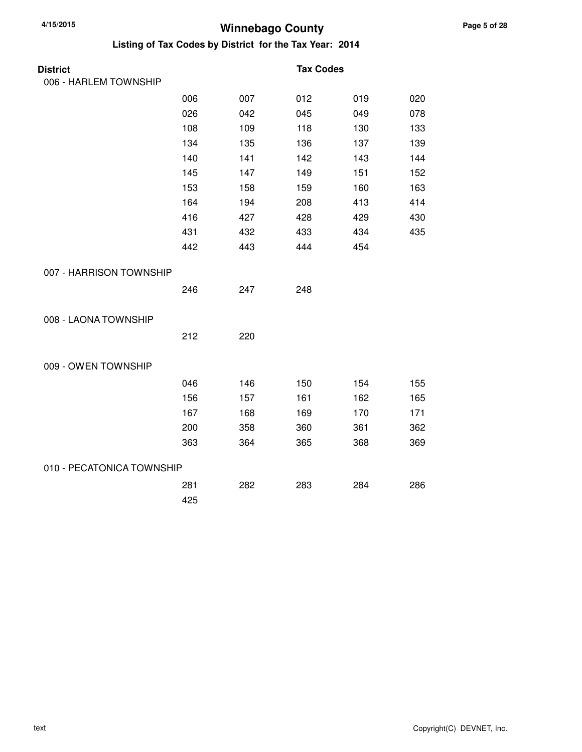| <b>District</b>           |     |     | <b>Tax Codes</b> |     |     |
|---------------------------|-----|-----|------------------|-----|-----|
| 006 - HARLEM TOWNSHIP     |     |     |                  |     |     |
|                           | 006 | 007 | 012              | 019 | 020 |
|                           | 026 | 042 | 045              | 049 | 078 |
|                           | 108 | 109 | 118              | 130 | 133 |
|                           | 134 | 135 | 136              | 137 | 139 |
|                           | 140 | 141 | 142              | 143 | 144 |
|                           | 145 | 147 | 149              | 151 | 152 |
|                           | 153 | 158 | 159              | 160 | 163 |
|                           | 164 | 194 | 208              | 413 | 414 |
|                           | 416 | 427 | 428              | 429 | 430 |
|                           | 431 | 432 | 433              | 434 | 435 |
|                           | 442 | 443 | 444              | 454 |     |
| 007 - HARRISON TOWNSHIP   |     |     |                  |     |     |
|                           | 246 | 247 | 248              |     |     |
| 008 - LAONA TOWNSHIP      |     |     |                  |     |     |
|                           | 212 | 220 |                  |     |     |
| 009 - OWEN TOWNSHIP       |     |     |                  |     |     |
|                           | 046 | 146 | 150              | 154 | 155 |
|                           | 156 | 157 | 161              | 162 | 165 |
|                           | 167 | 168 | 169              | 170 | 171 |
|                           | 200 | 358 | 360              | 361 | 362 |
|                           | 363 | 364 | 365              | 368 | 369 |
| 010 - PECATONICA TOWNSHIP |     |     |                  |     |     |
|                           | 281 | 282 | 283              | 284 | 286 |
|                           | 425 |     |                  |     |     |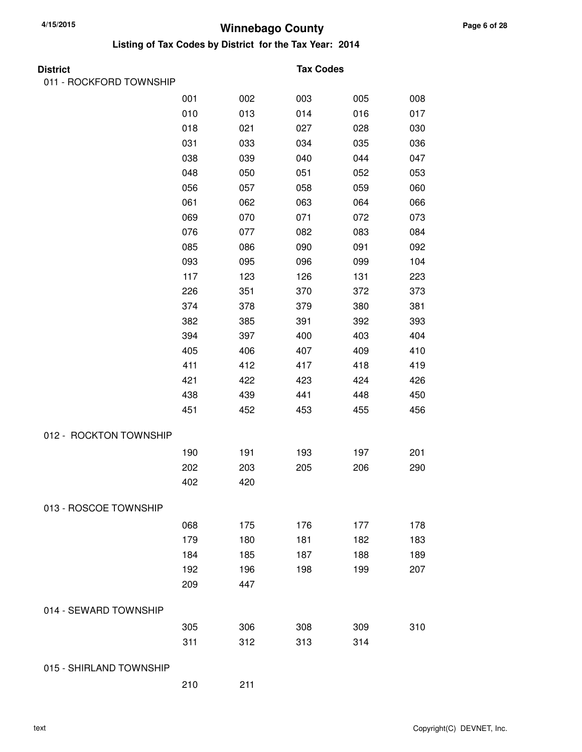**Listing of Tax Codes by District for the Tax Year: 2014**

| Distric |  |
|---------|--|
|         |  |

011 - ROCKFORD TOWNSHIP

#### **Tax Codes**

|                         | 001 | 002 | 003 | 005 | 008 |
|-------------------------|-----|-----|-----|-----|-----|
|                         | 010 | 013 | 014 | 016 | 017 |
|                         | 018 | 021 | 027 | 028 | 030 |
|                         | 031 | 033 | 034 | 035 | 036 |
|                         | 038 | 039 | 040 | 044 | 047 |
|                         | 048 | 050 | 051 | 052 | 053 |
|                         | 056 | 057 | 058 | 059 | 060 |
|                         | 061 | 062 | 063 | 064 | 066 |
|                         | 069 | 070 | 071 | 072 | 073 |
|                         | 076 | 077 | 082 | 083 | 084 |
|                         | 085 | 086 | 090 | 091 | 092 |
|                         | 093 | 095 | 096 | 099 | 104 |
|                         | 117 | 123 | 126 | 131 | 223 |
|                         | 226 | 351 | 370 | 372 | 373 |
|                         | 374 | 378 | 379 | 380 | 381 |
|                         | 382 | 385 | 391 | 392 | 393 |
|                         | 394 | 397 | 400 | 403 | 404 |
|                         | 405 | 406 | 407 | 409 | 410 |
|                         | 411 | 412 | 417 | 418 | 419 |
|                         | 421 | 422 | 423 | 424 | 426 |
|                         | 438 | 439 | 441 | 448 | 450 |
|                         | 451 | 452 | 453 | 455 | 456 |
|                         |     |     |     |     |     |
| 012 - ROCKTON TOWNSHIP  |     |     |     |     |     |
|                         | 190 | 191 | 193 | 197 | 201 |
|                         | 202 | 203 | 205 | 206 | 290 |
|                         | 402 | 420 |     |     |     |
| 013 - ROSCOE TOWNSHIP   |     |     |     |     |     |
|                         | 068 | 175 | 176 | 177 | 178 |
|                         | 179 | 180 | 181 | 182 | 183 |
|                         | 184 | 185 | 187 | 188 | 189 |
|                         | 192 | 196 | 198 | 199 | 207 |
|                         | 209 | 447 |     |     |     |
| 014 - SEWARD TOWNSHIP   |     |     |     |     |     |
|                         | 305 | 306 | 308 | 309 | 310 |
|                         | 311 | 312 | 313 | 314 |     |
|                         |     |     |     |     |     |
| 015 - SHIRLAND TOWNSHIP |     |     |     |     |     |

210 211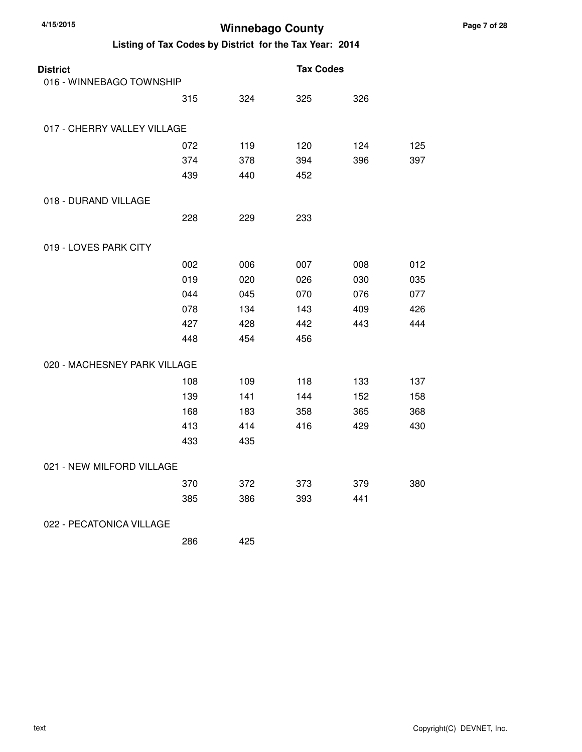| <b>District</b><br>016 - WINNEBAGO TOWNSHIP |     |     | <b>Tax Codes</b> |     |     |
|---------------------------------------------|-----|-----|------------------|-----|-----|
|                                             |     |     |                  |     |     |
|                                             | 315 | 324 | 325              | 326 |     |
| 017 - CHERRY VALLEY VILLAGE                 |     |     |                  |     |     |
|                                             | 072 | 119 | 120              | 124 | 125 |
|                                             | 374 | 378 | 394              | 396 | 397 |
|                                             | 439 | 440 | 452              |     |     |
| 018 - DURAND VILLAGE                        |     |     |                  |     |     |
|                                             | 228 | 229 | 233              |     |     |
| 019 - LOVES PARK CITY                       |     |     |                  |     |     |
|                                             | 002 | 006 | 007              | 008 | 012 |
|                                             | 019 | 020 | 026              | 030 | 035 |
|                                             | 044 | 045 | 070              | 076 | 077 |
|                                             | 078 | 134 | 143              | 409 | 426 |
|                                             | 427 | 428 | 442              | 443 | 444 |
|                                             | 448 | 454 | 456              |     |     |
| 020 - MACHESNEY PARK VILLAGE                |     |     |                  |     |     |
|                                             | 108 | 109 | 118              | 133 | 137 |
|                                             | 139 | 141 | 144              | 152 | 158 |
|                                             | 168 | 183 | 358              | 365 | 368 |
|                                             | 413 | 414 | 416              | 429 | 430 |
|                                             | 433 | 435 |                  |     |     |
| 021 - NEW MILFORD VILLAGE                   |     |     |                  |     |     |
|                                             | 370 | 372 | 373              | 379 | 380 |
|                                             | 385 | 386 | 393              | 441 |     |
| 022 - PECATONICA VILLAGE                    |     |     |                  |     |     |
|                                             | 286 | 425 |                  |     |     |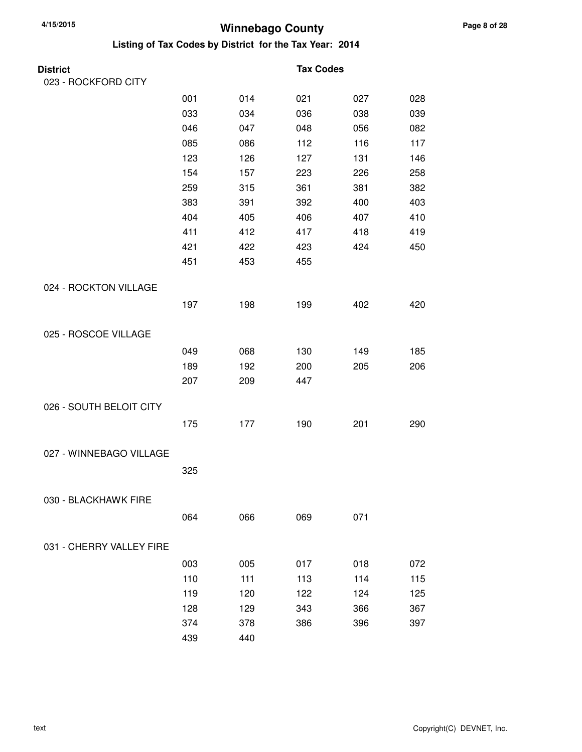| District                 |     |     | <b>Tax Codes</b> |     |     |
|--------------------------|-----|-----|------------------|-----|-----|
| 023 - ROCKFORD CITY      |     |     |                  |     |     |
|                          | 001 | 014 | 021              | 027 | 028 |
|                          | 033 | 034 | 036              | 038 | 039 |
|                          | 046 | 047 | 048              | 056 | 082 |
|                          | 085 | 086 | 112              | 116 | 117 |
|                          | 123 | 126 | 127              | 131 | 146 |
|                          | 154 | 157 | 223              | 226 | 258 |
|                          | 259 | 315 | 361              | 381 | 382 |
|                          | 383 | 391 | 392              | 400 | 403 |
|                          | 404 | 405 | 406              | 407 | 410 |
|                          | 411 | 412 | 417              | 418 | 419 |
|                          | 421 | 422 | 423              | 424 | 450 |
|                          | 451 | 453 | 455              |     |     |
| 024 - ROCKTON VILLAGE    |     |     |                  |     |     |
|                          | 197 | 198 | 199              | 402 | 420 |
| 025 - ROSCOE VILLAGE     |     |     |                  |     |     |
|                          | 049 | 068 | 130              | 149 | 185 |
|                          | 189 | 192 | 200              | 205 | 206 |
|                          | 207 | 209 | 447              |     |     |
| 026 - SOUTH BELOIT CITY  |     |     |                  |     |     |
|                          | 175 | 177 | 190              | 201 | 290 |
| 027 - WINNEBAGO VILLAGE  |     |     |                  |     |     |
|                          | 325 |     |                  |     |     |
| 030 - BLACKHAWK FIRE     |     |     |                  |     |     |
|                          | 064 | 066 | 069              | 071 |     |
|                          |     |     |                  |     |     |
| 031 - CHERRY VALLEY FIRE |     |     |                  |     |     |
|                          | 003 | 005 | 017              | 018 | 072 |
|                          | 110 | 111 | 113              | 114 | 115 |
|                          | 119 | 120 | 122              | 124 | 125 |
|                          | 128 | 129 | 343              | 366 | 367 |
|                          | 374 | 378 | 386              | 396 | 397 |
|                          | 439 | 440 |                  |     |     |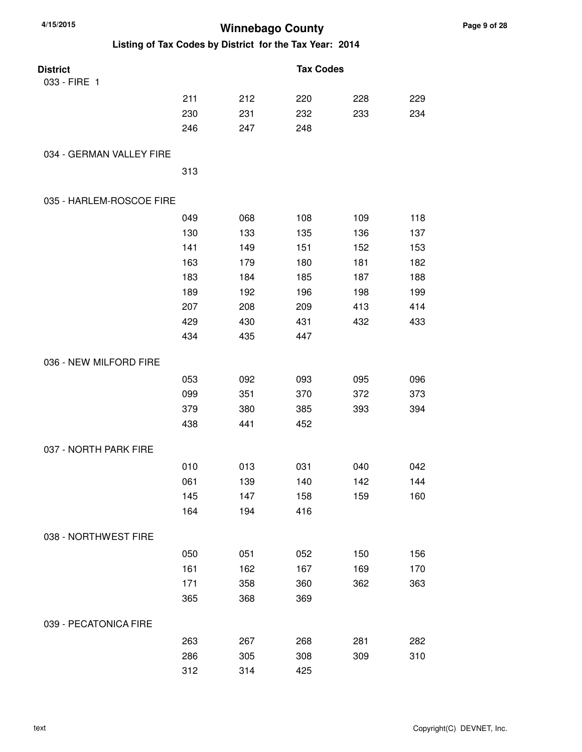| 4/15/2015<br><b>Winnebago County</b> |     |                                                         |                  |     |     |
|--------------------------------------|-----|---------------------------------------------------------|------------------|-----|-----|
|                                      |     | Listing of Tax Codes by District for the Tax Year: 2014 |                  |     |     |
| <b>District</b>                      |     |                                                         | <b>Tax Codes</b> |     |     |
| 033 - FIRE 1                         |     |                                                         |                  |     |     |
|                                      | 211 | 212                                                     | 220              | 228 | 229 |
|                                      | 230 | 231                                                     | 232              | 233 | 234 |
|                                      | 246 | 247                                                     | 248              |     |     |
| 034 - GERMAN VALLEY FIRE             |     |                                                         |                  |     |     |
|                                      | 313 |                                                         |                  |     |     |
| 035 - HARLEM-ROSCOE FIRE             |     |                                                         |                  |     |     |
|                                      | 049 | 068                                                     | 108              | 109 | 118 |
|                                      | 130 | 133                                                     | 135              | 136 | 137 |
|                                      | 141 | 149                                                     | 151              | 152 | 153 |
|                                      | 163 | 179                                                     | 180              | 181 | 182 |
|                                      | 183 | 184                                                     | 185              | 187 | 188 |
|                                      | 189 | 192                                                     | 196              | 198 | 199 |
|                                      | 207 | 208                                                     | 209              | 413 | 414 |
|                                      | 429 | 430                                                     | 431              | 432 | 433 |
|                                      | 434 | 435                                                     | 447              |     |     |
| 036 - NEW MILFORD FIRE               |     |                                                         |                  |     |     |
|                                      | 053 | 092                                                     | 093              | 095 | 096 |
|                                      | 099 | 351                                                     | 370              | 372 | 373 |
|                                      | 379 | 380                                                     | 385              | 393 | 394 |
|                                      | 438 | 441                                                     | 452              |     |     |
| 037 - NORTH PARK FIRE                |     |                                                         |                  |     |     |
|                                      | 010 | 013                                                     | 031              | 040 | 042 |
|                                      | 061 | 139                                                     | 140              | 142 | 144 |
|                                      | 145 | 147                                                     | 158              | 159 | 160 |
|                                      | 164 | 194                                                     | 416              |     |     |
| 038 - NORTHWEST FIRE                 |     |                                                         |                  |     |     |
|                                      | 050 | 051                                                     | 052              | 150 | 156 |
|                                      | 161 | 162                                                     | 167              | 169 | 170 |
|                                      | 171 | 358                                                     | 360              | 362 | 363 |
|                                      | 365 | 368                                                     | 369              |     |     |
| 039 - PECATONICA FIRE                |     |                                                         |                  |     |     |
|                                      | 263 | 267                                                     | 268              | 281 | 282 |
|                                      | 286 | 305                                                     | 308              | 309 | 310 |
|                                      | 312 | 314                                                     | 425              |     |     |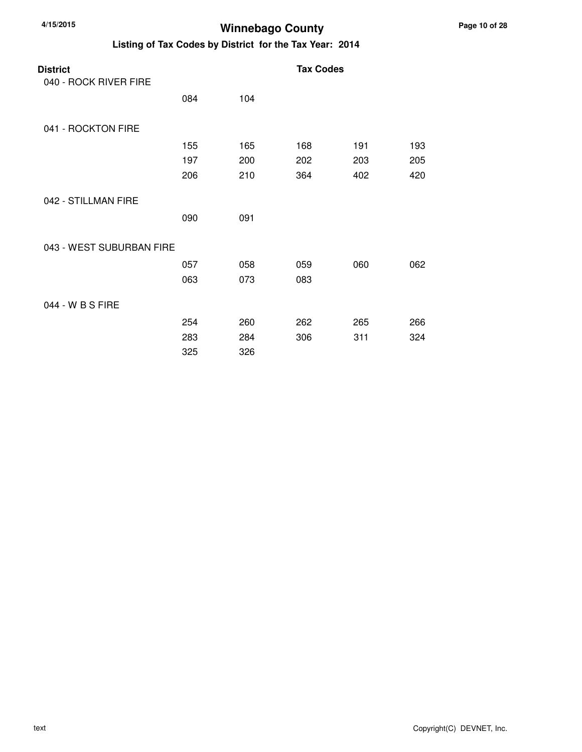| 4/15/2015 |  |
|-----------|--|
|           |  |

### **Winnebago County**

| <b>District</b>          |     |     | <b>Tax Codes</b> |     |     |
|--------------------------|-----|-----|------------------|-----|-----|
| 040 - ROCK RIVER FIRE    |     |     |                  |     |     |
|                          | 084 | 104 |                  |     |     |
| 041 - ROCKTON FIRE       |     |     |                  |     |     |
|                          | 155 | 165 | 168              | 191 | 193 |
|                          | 197 | 200 | 202              | 203 | 205 |
|                          | 206 | 210 | 364              | 402 | 420 |
| 042 - STILLMAN FIRE      |     |     |                  |     |     |
|                          | 090 | 091 |                  |     |     |
| 043 - WEST SUBURBAN FIRE |     |     |                  |     |     |
|                          | 057 | 058 | 059              | 060 | 062 |
|                          | 063 | 073 | 083              |     |     |
| 044 - W B S FIRE         |     |     |                  |     |     |
|                          | 254 | 260 | 262              | 265 | 266 |
|                          | 283 | 284 | 306              | 311 | 324 |
|                          | 325 | 326 |                  |     |     |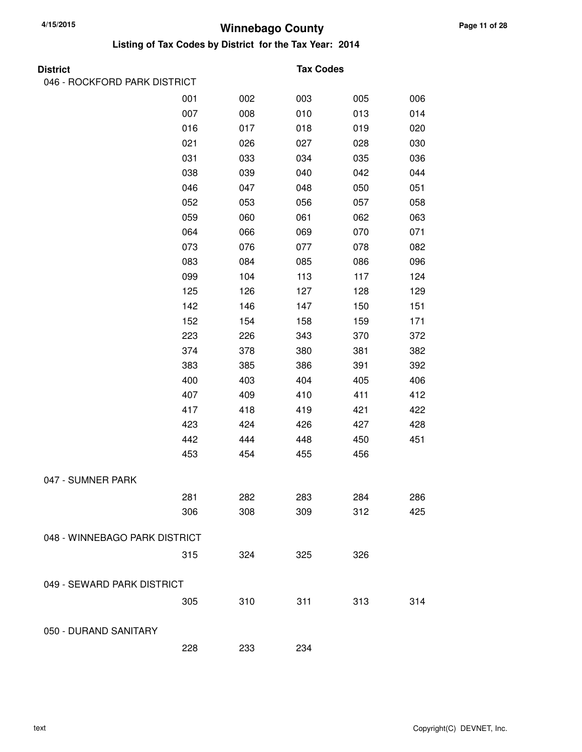| 046 - ROCKFORD PARK DISTRICT  |     |     |     |                  |
|-------------------------------|-----|-----|-----|------------------|
| 001                           | 002 | 003 | 005 | 006              |
| 007                           | 008 | 010 | 013 | 014              |
| 016                           | 017 | 018 | 019 | 020              |
| 021                           | 026 | 027 | 028 | 030              |
| 031                           | 033 | 034 | 035 | 036              |
| 038                           | 039 | 040 | 042 | 044              |
| 046                           | 047 | 048 | 050 | 051              |
| 052                           | 053 | 056 | 057 | 058              |
| 059                           | 060 | 061 | 062 | 063              |
| 064                           | 066 | 069 | 070 | 071              |
| 073                           | 076 | 077 | 078 | 082              |
| 083                           | 084 | 085 | 086 | 096              |
| 099                           | 104 | 113 | 117 | 124              |
| 125                           | 126 | 127 | 128 | 129              |
| 142                           | 146 | 147 | 150 | 151              |
| 152                           | 154 | 158 | 159 | 171              |
| 223                           | 226 | 343 | 370 | 372              |
| 374                           | 378 | 380 | 381 | 382              |
| 383                           | 385 | 386 | 391 | 392              |
| 400                           | 403 | 404 | 405 | 406              |
| 407                           | 409 | 410 | 411 | 412              |
| 417                           | 418 | 419 | 421 | 422              |
| 423                           | 424 | 426 | 427 | 428              |
| 442                           | 444 | 448 | 450 | 451              |
| 453                           | 454 | 455 | 456 |                  |
|                               |     |     |     |                  |
| 281                           | 282 | 283 | 284 | 286              |
| 306                           | 308 | 309 | 312 | 425              |
| 048 - WINNEBAGO PARK DISTRICT |     |     |     |                  |
| 315                           | 324 | 325 | 326 |                  |
| 049 - SEWARD PARK DISTRICT    |     |     |     |                  |
| 305                           | 310 | 311 | 313 | 314              |
|                               |     |     |     |                  |
| 228                           | 233 | 234 |     |                  |
|                               |     |     |     | <b>Tax Codes</b> |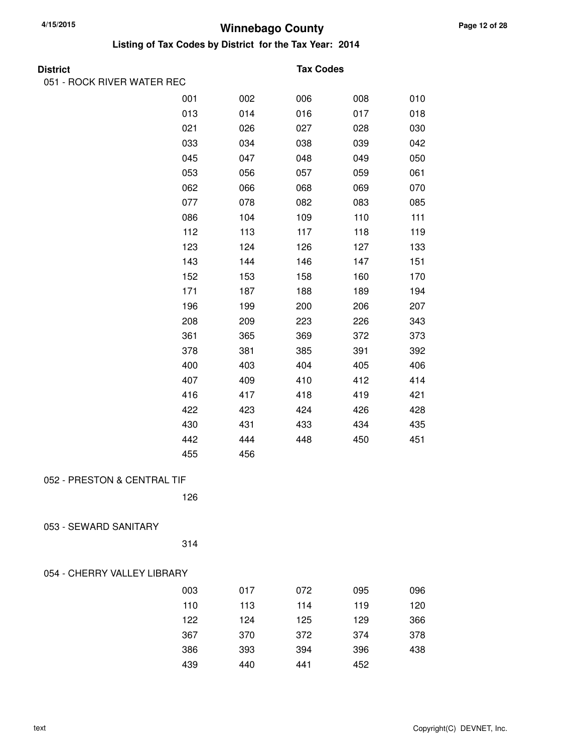**Listing of Tax Codes by District for the Tax Year: 2014**

| <b>Distric</b> |  |
|----------------|--|
|                |  |

#### **Tax Codes**

| 051 - ROCK RIVER WATER REC  |     |     |     |     |     |
|-----------------------------|-----|-----|-----|-----|-----|
|                             | 001 | 002 | 006 | 008 | 010 |
|                             | 013 | 014 | 016 | 017 | 018 |
|                             | 021 | 026 | 027 | 028 | 030 |
|                             | 033 | 034 | 038 | 039 | 042 |
|                             | 045 | 047 | 048 | 049 | 050 |
|                             | 053 | 056 | 057 | 059 | 061 |
|                             | 062 | 066 | 068 | 069 | 070 |
|                             | 077 | 078 | 082 | 083 | 085 |
|                             | 086 | 104 | 109 | 110 | 111 |
|                             | 112 | 113 | 117 | 118 | 119 |
|                             | 123 | 124 | 126 | 127 | 133 |
|                             | 143 | 144 | 146 | 147 | 151 |
|                             | 152 | 153 | 158 | 160 | 170 |
|                             | 171 | 187 | 188 | 189 | 194 |
|                             | 196 | 199 | 200 | 206 | 207 |
|                             | 208 | 209 | 223 | 226 | 343 |
|                             | 361 | 365 | 369 | 372 | 373 |
|                             | 378 | 381 | 385 | 391 | 392 |
|                             | 400 | 403 | 404 | 405 | 406 |
|                             | 407 | 409 | 410 | 412 | 414 |
|                             | 416 | 417 | 418 | 419 | 421 |
|                             | 422 | 423 | 424 | 426 | 428 |
|                             | 430 | 431 | 433 | 434 | 435 |
|                             | 442 | 444 | 448 | 450 | 451 |
|                             | 455 | 456 |     |     |     |
| 052 - PRESTON & CENTRAL TIF |     |     |     |     |     |
|                             | 126 |     |     |     |     |
|                             |     |     |     |     |     |
| 053 - SEWARD SANITARY       |     |     |     |     |     |
|                             | 314 |     |     |     |     |
| 054 - CHERRY VALLEY LIBRARY |     |     |     |     |     |
|                             |     |     |     |     |     |
|                             | 003 | 017 | 072 | 095 | 096 |
|                             | 110 | 113 | 114 | 119 | 120 |
|                             | 122 | 124 | 125 | 129 | 366 |
|                             | 367 | 370 | 372 | 374 | 378 |

386 393 394 396 438

439 440 441 452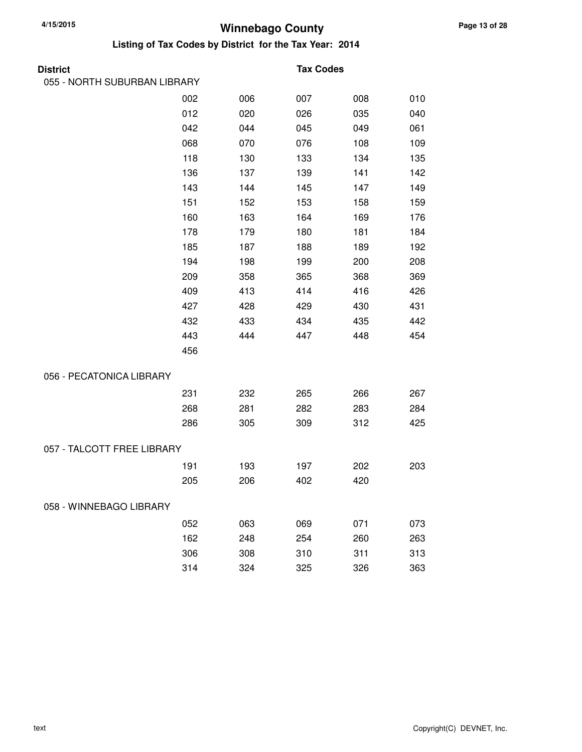| District                     |     |     | <b>Tax Codes</b> |     |     |
|------------------------------|-----|-----|------------------|-----|-----|
| 055 - NORTH SUBURBAN LIBRARY |     |     |                  |     |     |
|                              | 002 | 006 | 007              | 008 | 010 |
|                              | 012 | 020 | 026              | 035 | 040 |
|                              | 042 | 044 | 045              | 049 | 061 |
|                              | 068 | 070 | 076              | 108 | 109 |
|                              | 118 | 130 | 133              | 134 | 135 |
|                              | 136 | 137 | 139              | 141 | 142 |
|                              | 143 | 144 | 145              | 147 | 149 |
|                              | 151 | 152 | 153              | 158 | 159 |
|                              | 160 | 163 | 164              | 169 | 176 |
|                              | 178 | 179 | 180              | 181 | 184 |
|                              | 185 | 187 | 188              | 189 | 192 |
|                              | 194 | 198 | 199              | 200 | 208 |
|                              | 209 | 358 | 365              | 368 | 369 |
|                              | 409 | 413 | 414              | 416 | 426 |
|                              | 427 | 428 | 429              | 430 | 431 |
|                              | 432 | 433 | 434              | 435 | 442 |
|                              | 443 | 444 | 447              | 448 | 454 |
|                              | 456 |     |                  |     |     |
| 056 - PECATONICA LIBRARY     |     |     |                  |     |     |
|                              | 231 | 232 | 265              | 266 | 267 |
|                              | 268 | 281 | 282              | 283 | 284 |
|                              | 286 | 305 | 309              | 312 | 425 |
| 057 - TALCOTT FREE LIBRARY   |     |     |                  |     |     |
|                              | 191 | 193 | 197              | 202 | 203 |
|                              | 205 | 206 | 402              | 420 |     |
| 058 - WINNEBAGO LIBRARY      |     |     |                  |     |     |
|                              | 052 | 063 | 069              | 071 | 073 |
|                              | 162 | 248 | 254              | 260 | 263 |
|                              | 306 | 308 | 310              | 311 | 313 |
|                              | 314 | 324 | 325              | 326 | 363 |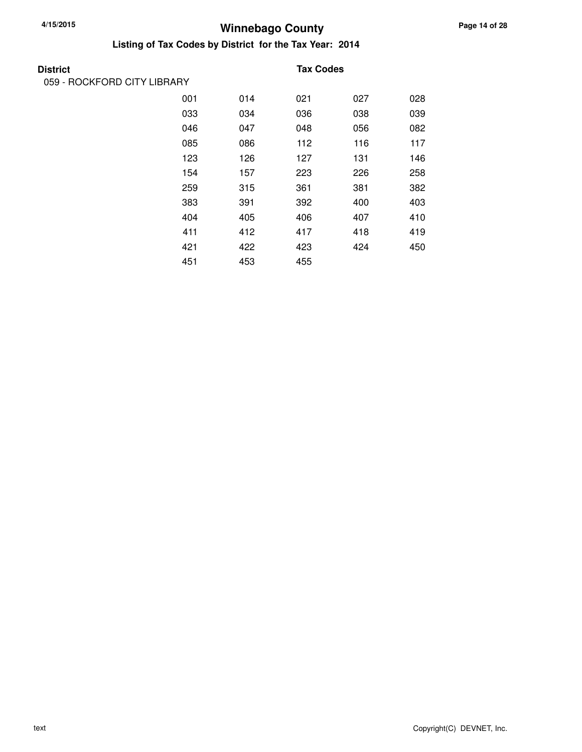## **Winnebago County 4/15/2015**

| <b>District</b>             |     |     | <b>Tax Codes</b> |     |     |
|-----------------------------|-----|-----|------------------|-----|-----|
| 059 - ROCKFORD CITY LIBRARY |     |     |                  |     |     |
|                             | 001 | 014 | 021              | 027 | 028 |
|                             | 033 | 034 | 036              | 038 | 039 |
|                             | 046 | 047 | 048              | 056 | 082 |
|                             | 085 | 086 | 112              | 116 | 117 |
|                             | 123 | 126 | 127              | 131 | 146 |
|                             | 154 | 157 | 223              | 226 | 258 |
|                             | 259 | 315 | 361              | 381 | 382 |
|                             | 383 | 391 | 392              | 400 | 403 |
|                             | 404 | 405 | 406              | 407 | 410 |
|                             | 411 | 412 | 417              | 418 | 419 |
|                             | 421 | 422 | 423              | 424 | 450 |
|                             | 451 | 453 | 455              |     |     |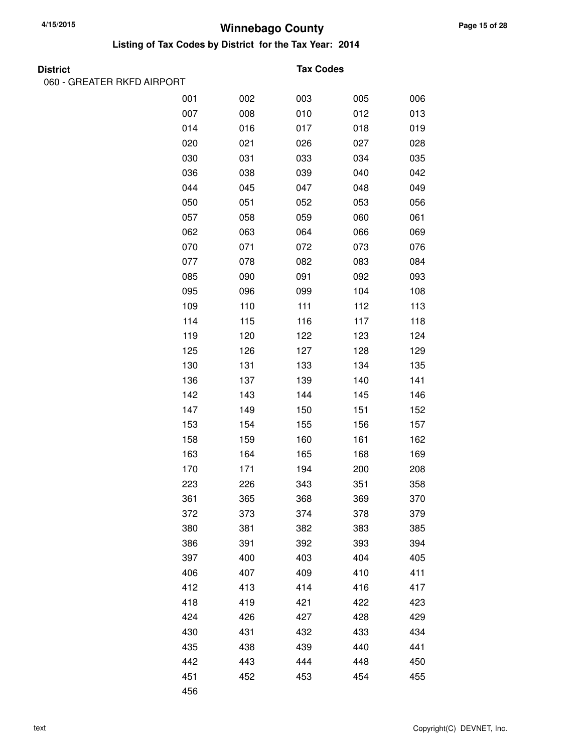**Listing of Tax Codes by District for the Tax Year: 2014**

| . r<br>r<br>۰.<br>н<br>п.<br>٠ |
|--------------------------------|
|--------------------------------|

060 - GREATER RKFD AIRPORT

#### **Tax Codes**

| 001 | 002 | 003 | 005 | 006 |
|-----|-----|-----|-----|-----|
| 007 | 008 | 010 | 012 | 013 |
| 014 | 016 | 017 | 018 | 019 |
| 020 | 021 | 026 | 027 | 028 |
| 030 | 031 | 033 | 034 | 035 |
| 036 | 038 | 039 | 040 | 042 |
| 044 | 045 | 047 | 048 | 049 |
| 050 | 051 | 052 | 053 | 056 |
| 057 | 058 | 059 | 060 | 061 |
| 062 | 063 | 064 | 066 | 069 |
| 070 | 071 | 072 | 073 | 076 |
| 077 | 078 | 082 | 083 | 084 |
| 085 | 090 | 091 | 092 | 093 |
| 095 | 096 | 099 | 104 | 108 |
| 109 | 110 | 111 | 112 | 113 |
| 114 | 115 | 116 | 117 | 118 |
| 119 | 120 | 122 | 123 | 124 |
| 125 | 126 | 127 | 128 | 129 |
| 130 | 131 | 133 | 134 | 135 |
| 136 | 137 | 139 | 140 | 141 |
| 142 | 143 | 144 | 145 | 146 |
| 147 | 149 | 150 | 151 | 152 |
| 153 | 154 | 155 | 156 | 157 |
| 158 | 159 | 160 | 161 | 162 |
| 163 | 164 | 165 | 168 | 169 |
| 170 | 171 | 194 | 200 | 208 |
| 223 | 226 | 343 | 351 | 358 |
| 361 | 365 | 368 | 369 | 370 |
| 372 | 373 | 374 | 378 | 379 |
| 380 | 381 | 382 | 383 | 385 |
| 386 | 391 | 392 | 393 | 394 |
| 397 | 400 | 403 | 404 | 405 |
| 406 | 407 | 409 | 410 | 411 |
| 412 | 413 | 414 | 416 | 417 |
| 418 | 419 | 421 | 422 | 423 |
| 424 | 426 | 427 | 428 | 429 |
| 430 | 431 | 432 | 433 | 434 |
| 435 | 438 | 439 | 440 | 441 |
| 442 | 443 | 444 | 448 | 450 |
| 451 | 452 | 453 | 454 | 455 |
| 456 |     |     |     |     |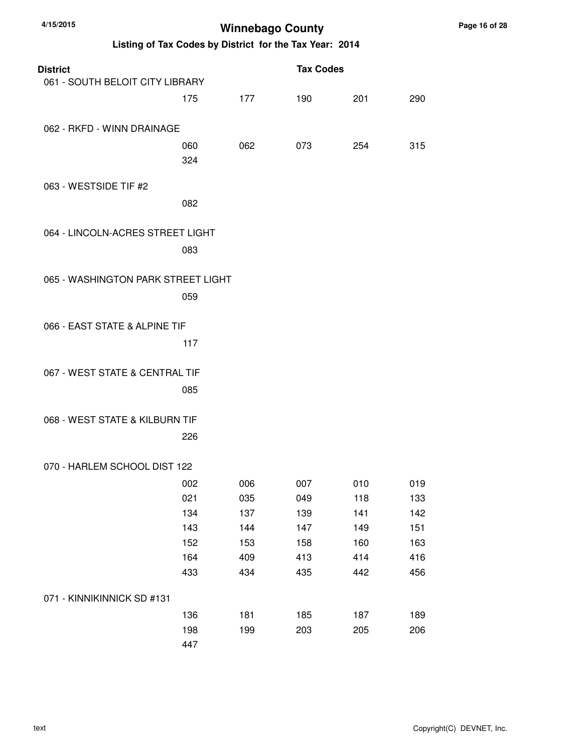| <b>District</b>                    |     |     | <b>Tax Codes</b> |     |     |
|------------------------------------|-----|-----|------------------|-----|-----|
| 061 - SOUTH BELOIT CITY LIBRARY    |     |     |                  |     |     |
|                                    | 175 | 177 | 190              | 201 | 290 |
|                                    |     |     |                  |     |     |
| 062 - RKFD - WINN DRAINAGE         |     |     |                  |     |     |
|                                    | 060 | 062 | 073              | 254 | 315 |
|                                    | 324 |     |                  |     |     |
|                                    |     |     |                  |     |     |
| 063 - WESTSIDE TIF #2              |     |     |                  |     |     |
|                                    | 082 |     |                  |     |     |
| 064 - LINCOLN-ACRES STREET LIGHT   |     |     |                  |     |     |
|                                    |     |     |                  |     |     |
|                                    | 083 |     |                  |     |     |
| 065 - WASHINGTON PARK STREET LIGHT |     |     |                  |     |     |
|                                    |     |     |                  |     |     |
|                                    | 059 |     |                  |     |     |
| 066 - EAST STATE & ALPINE TIF      |     |     |                  |     |     |
|                                    |     |     |                  |     |     |
|                                    | 117 |     |                  |     |     |
| 067 - WEST STATE & CENTRAL TIF     |     |     |                  |     |     |
|                                    | 085 |     |                  |     |     |
|                                    |     |     |                  |     |     |
| 068 - WEST STATE & KILBURN TIF     |     |     |                  |     |     |
|                                    | 226 |     |                  |     |     |
|                                    |     |     |                  |     |     |
| 070 - HARLEM SCHOOL DIST 122       |     |     |                  |     |     |
|                                    | 002 | 006 | 007              | 010 | 019 |
|                                    | 021 | 035 | 049              | 118 | 133 |
|                                    | 134 | 137 | 139              | 141 | 142 |
|                                    | 143 | 144 | 147              | 149 | 151 |
|                                    | 152 | 153 | 158              | 160 | 163 |
|                                    | 164 | 409 | 413              | 414 | 416 |
|                                    | 433 | 434 | 435              | 442 | 456 |
|                                    |     |     |                  |     |     |
| 071 - KINNIKINNICK SD #131         |     |     |                  |     |     |
|                                    | 136 | 181 | 185              | 187 | 189 |
|                                    | 198 | 199 | 203              | 205 | 206 |
|                                    | 447 |     |                  |     |     |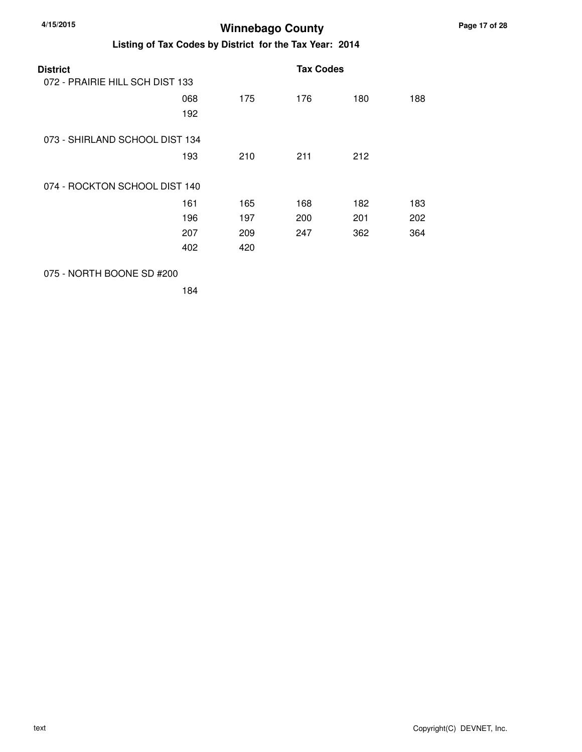| 4/15/2015       | Listing of Tax Codes by District for the Tax Year: 2014 |     | <b>Winnebago County</b> |     |     |
|-----------------|---------------------------------------------------------|-----|-------------------------|-----|-----|
| <b>District</b> | 072 - PRAIRIE HILL SCH DIST 133                         |     | <b>Tax Codes</b>        |     |     |
|                 | 068<br>192                                              | 175 | 176                     | 180 | 188 |
|                 | 073 - SHIRLAND SCHOOL DIST 134                          |     |                         |     |     |
|                 | 193                                                     | 210 | 211                     | 212 |     |
|                 | 074 - ROCKTON SCHOOL DIST 140                           |     |                         |     |     |
|                 | 161                                                     | 165 | 168                     | 182 | 183 |
|                 | 196                                                     | 197 | 200                     | 201 | 202 |
|                 | 207                                                     | 209 | 247                     | 362 | 364 |
|                 | 402                                                     | 420 |                         |     |     |

#### 075 - NORTH BOONE SD #200

184

**Page 17 of 28**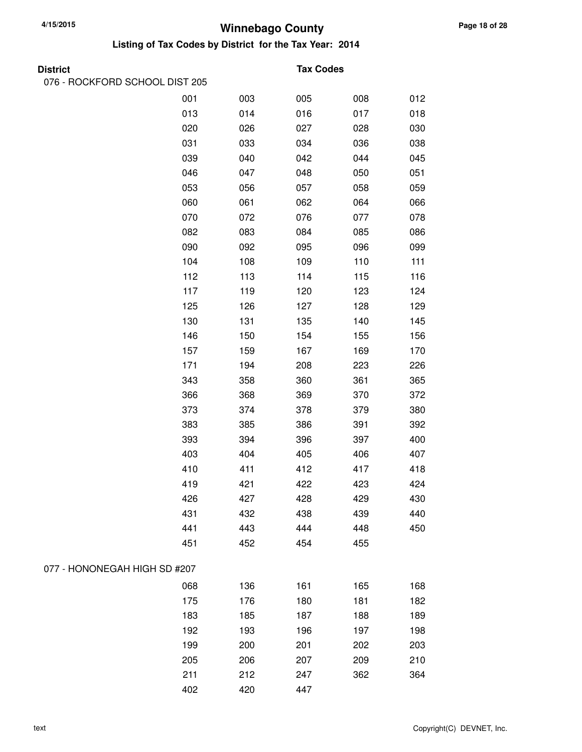**Listing of Tax Codes by District for the Tax Year: 2014**

076 - ROCKFORD SCHOOL DIST 205

#### **District Tax Codes**

|                              | 001 | 003 | 005 | 008 | 012 |
|------------------------------|-----|-----|-----|-----|-----|
|                              | 013 | 014 | 016 | 017 | 018 |
|                              | 020 | 026 | 027 | 028 | 030 |
|                              | 031 | 033 | 034 | 036 | 038 |
|                              | 039 | 040 | 042 | 044 | 045 |
|                              | 046 | 047 | 048 | 050 | 051 |
|                              | 053 | 056 | 057 | 058 | 059 |
|                              | 060 | 061 | 062 | 064 | 066 |
|                              | 070 | 072 | 076 | 077 | 078 |
|                              | 082 | 083 | 084 | 085 | 086 |
|                              | 090 | 092 | 095 | 096 | 099 |
|                              | 104 | 108 | 109 | 110 | 111 |
|                              | 112 | 113 | 114 | 115 | 116 |
|                              | 117 | 119 | 120 | 123 | 124 |
|                              | 125 | 126 | 127 | 128 | 129 |
|                              | 130 | 131 | 135 | 140 | 145 |
|                              | 146 | 150 | 154 | 155 | 156 |
|                              | 157 | 159 | 167 | 169 | 170 |
|                              | 171 | 194 | 208 | 223 | 226 |
|                              | 343 | 358 | 360 | 361 | 365 |
|                              | 366 | 368 | 369 | 370 | 372 |
|                              | 373 | 374 | 378 | 379 | 380 |
|                              | 383 | 385 | 386 | 391 | 392 |
|                              | 393 | 394 | 396 | 397 | 400 |
|                              | 403 | 404 | 405 | 406 | 407 |
|                              | 410 | 411 | 412 | 417 | 418 |
|                              | 419 | 421 | 422 | 423 | 424 |
|                              | 426 | 427 | 428 | 429 | 430 |
|                              | 431 | 432 | 438 | 439 | 440 |
|                              | 441 | 443 | 444 | 448 | 450 |
|                              | 451 | 452 | 454 | 455 |     |
| 077 - HONONEGAH HIGH SD #207 |     |     |     |     |     |
|                              | 068 | 136 | 161 | 165 | 168 |
|                              | 175 | 176 | 180 | 181 | 182 |
|                              | 183 | 185 | 187 | 188 | 189 |
|                              | 192 | 193 | 196 | 197 | 198 |
|                              | 199 | 200 | 201 | 202 | 203 |
|                              | 205 | 206 | 207 | 209 | 210 |
|                              | 211 | 212 | 247 | 362 | 364 |
|                              | 402 | 420 | 447 |     |     |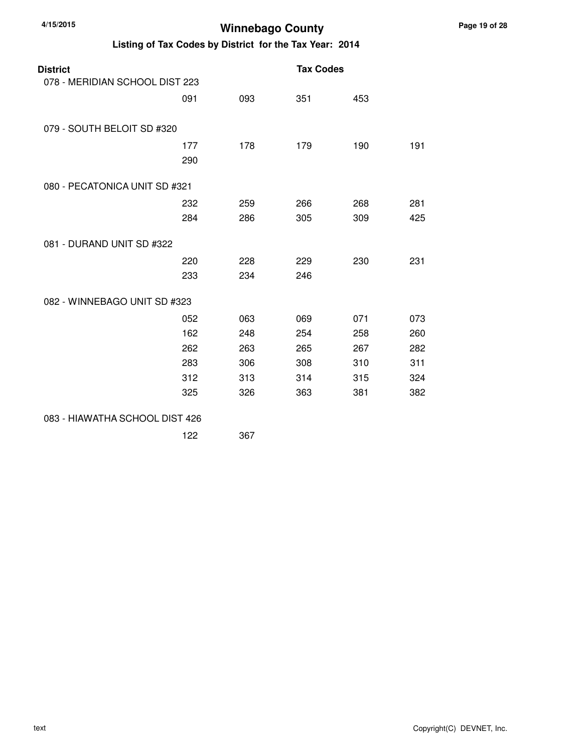| <b>District</b><br>078 - MERIDIAN SCHOOL DIST 223 |            |            | <b>Tax Codes</b> |            |            |
|---------------------------------------------------|------------|------------|------------------|------------|------------|
|                                                   | 091        | 093        | 351              | 453        |            |
| 079 - SOUTH BELOIT SD #320                        |            |            |                  |            |            |
|                                                   | 177<br>290 | 178        | 179              | 190        | 191        |
| 080 - PECATONICA UNIT SD #321                     |            |            |                  |            |            |
|                                                   | 232<br>284 | 259<br>286 | 266<br>305       | 268<br>309 | 281<br>425 |
| 081 - DURAND UNIT SD #322                         |            |            |                  |            |            |
|                                                   | 220<br>233 | 228<br>234 | 229<br>246       | 230        | 231        |
| 082 - WINNEBAGO UNIT SD #323                      |            |            |                  |            |            |
|                                                   | 052        | 063        | 069              | 071        | 073        |
|                                                   | 162        | 248        | 254              | 258        | 260        |
|                                                   | 262        | 263        | 265              | 267        | 282        |
|                                                   | 283        | 306        | 308              | 310        | 311        |
|                                                   | 312<br>325 | 313<br>326 | 314<br>363       | 315<br>381 | 324<br>382 |
| 083 - HIAWATHA SCHOOL DIST 426                    |            |            |                  |            |            |
|                                                   | 122        | 367        |                  |            |            |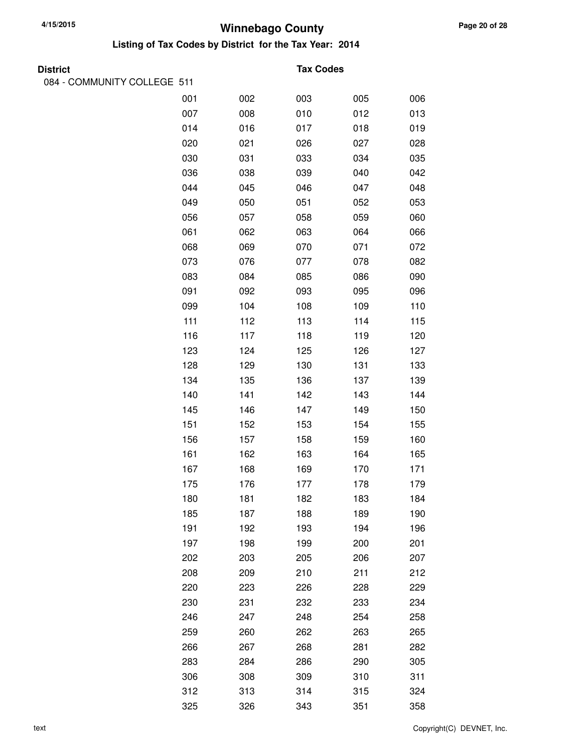| <b>District</b>             |     |     | <b>Tax Codes</b> |     |     |
|-----------------------------|-----|-----|------------------|-----|-----|
| 084 - COMMUNITY COLLEGE 511 |     |     |                  |     |     |
|                             | 001 | 002 | 003              | 005 | 006 |
|                             | 007 | 008 | 010              | 012 | 013 |
|                             | 014 | 016 | 017              | 018 | 019 |
|                             | 020 | 021 | 026              | 027 | 028 |
|                             | 030 | 031 | 033              | 034 | 035 |
|                             | 036 | 038 | 039              | 040 | 042 |
|                             | 044 | 045 | 046              | 047 | 048 |
|                             | 049 | 050 | 051              | 052 | 053 |
|                             | 056 | 057 | 058              | 059 | 060 |
|                             | 061 | 062 | 063              | 064 | 066 |
|                             | 068 | 069 | 070              | 071 | 072 |
|                             | 073 | 076 | 077              | 078 | 082 |
|                             | 083 | 084 | 085              | 086 | 090 |
|                             | 091 | 092 | 093              | 095 | 096 |
|                             | 099 | 104 | 108              | 109 | 110 |
|                             | 111 | 112 | 113              | 114 | 115 |
|                             | 116 | 117 | 118              | 119 | 120 |
|                             | 123 | 124 | 125              | 126 | 127 |
|                             | 128 | 129 | 130              | 131 | 133 |
|                             | 134 | 135 | 136              | 137 | 139 |
|                             | 140 | 141 | 142              | 143 | 144 |
|                             | 145 | 146 | 147              | 149 | 150 |
|                             | 151 | 152 | 153              | 154 | 155 |
|                             | 156 | 157 | 158              | 159 | 160 |
|                             | 161 | 162 | 163              | 164 | 165 |
|                             | 167 | 168 | 169              | 170 | 171 |
|                             | 175 | 176 | 177              | 178 | 179 |
|                             | 180 | 181 | 182              | 183 | 184 |
|                             | 185 | 187 | 188              | 189 | 190 |
|                             | 191 | 192 | 193              | 194 | 196 |
|                             | 197 | 198 | 199              | 200 | 201 |
|                             | 202 | 203 | 205              | 206 | 207 |
|                             | 208 | 209 | 210              | 211 | 212 |
|                             | 220 | 223 | 226              | 228 | 229 |
|                             | 230 | 231 | 232              | 233 | 234 |
|                             | 246 | 247 | 248              | 254 | 258 |
|                             | 259 | 260 | 262              | 263 | 265 |
|                             | 266 | 267 | 268              | 281 | 282 |
|                             | 283 | 284 | 286              | 290 | 305 |
|                             | 306 | 308 | 309              | 310 | 311 |
|                             | 312 | 313 | 314              | 315 | 324 |
|                             | 325 | 326 | 343              | 351 | 358 |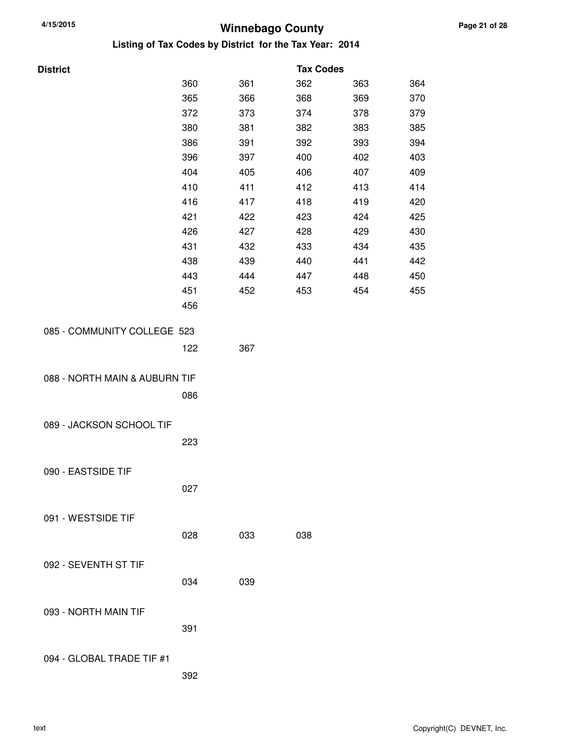| <b>District</b>               |     |     | <b>Tax Codes</b> |     |     |
|-------------------------------|-----|-----|------------------|-----|-----|
|                               | 360 | 361 | 362              | 363 | 364 |
|                               | 365 | 366 | 368              | 369 | 370 |
|                               | 372 | 373 | 374              | 378 | 379 |
|                               | 380 | 381 | 382              | 383 | 385 |
|                               | 386 | 391 | 392              | 393 | 394 |
|                               | 396 | 397 | 400              | 402 | 403 |
|                               | 404 | 405 | 406              | 407 | 409 |
|                               | 410 | 411 | 412              | 413 | 414 |
|                               | 416 | 417 | 418              | 419 | 420 |
|                               | 421 | 422 | 423              | 424 | 425 |
|                               | 426 | 427 | 428              | 429 | 430 |
|                               | 431 | 432 | 433              | 434 | 435 |
|                               | 438 | 439 | 440              | 441 | 442 |
|                               | 443 | 444 | 447              | 448 | 450 |
|                               | 451 | 452 | 453              | 454 | 455 |
|                               | 456 |     |                  |     |     |
|                               |     |     |                  |     |     |
| 085 - COMMUNITY COLLEGE 523   |     |     |                  |     |     |
|                               | 122 | 367 |                  |     |     |
|                               |     |     |                  |     |     |
| 088 - NORTH MAIN & AUBURN TIF |     |     |                  |     |     |
|                               | 086 |     |                  |     |     |
|                               |     |     |                  |     |     |
| 089 - JACKSON SCHOOL TIF      |     |     |                  |     |     |
|                               | 223 |     |                  |     |     |
|                               |     |     |                  |     |     |
| 090 - EASTSIDE TIF            |     |     |                  |     |     |
|                               | 027 |     |                  |     |     |
|                               |     |     |                  |     |     |
| 091 - WESTSIDE TIF            |     |     |                  |     |     |
|                               | 028 | 033 | 038              |     |     |
|                               |     |     |                  |     |     |
| 092 - SEVENTH ST TIF          |     |     |                  |     |     |
|                               | 034 | 039 |                  |     |     |
|                               |     |     |                  |     |     |
|                               |     |     |                  |     |     |
| 093 - NORTH MAIN TIF          |     |     |                  |     |     |
|                               | 391 |     |                  |     |     |
|                               |     |     |                  |     |     |
| 094 - GLOBAL TRADE TIF #1     |     |     |                  |     |     |
|                               | 392 |     |                  |     |     |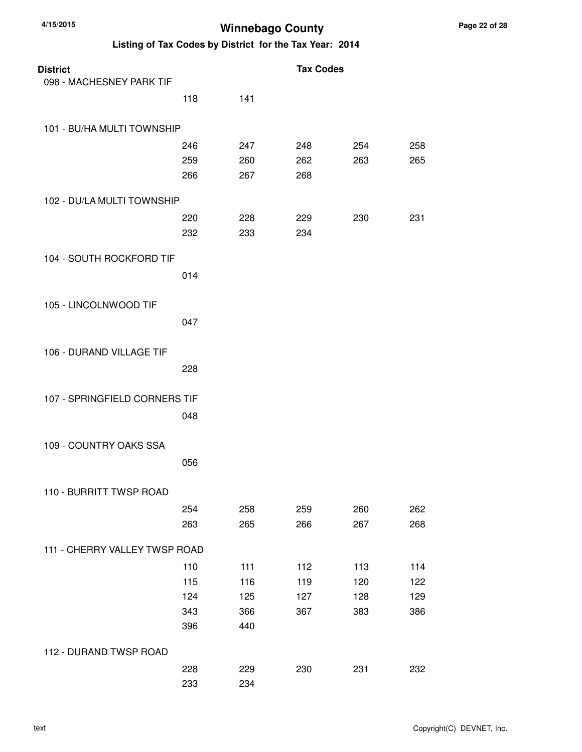| <b>District</b>               |     |     | <b>Tax Codes</b> |     |     |
|-------------------------------|-----|-----|------------------|-----|-----|
| 098 - MACHESNEY PARK TIF      |     |     |                  |     |     |
|                               | 118 | 141 |                  |     |     |
| 101 - BU/HA MULTI TOWNSHIP    |     |     |                  |     |     |
|                               | 246 | 247 | 248              | 254 | 258 |
|                               | 259 | 260 | 262              | 263 | 265 |
|                               | 266 | 267 | 268              |     |     |
| 102 - DU/LA MULTI TOWNSHIP    |     |     |                  |     |     |
|                               | 220 | 228 | 229              | 230 | 231 |
|                               | 232 | 233 | 234              |     |     |
| 104 - SOUTH ROCKFORD TIF      |     |     |                  |     |     |
|                               | 014 |     |                  |     |     |
| 105 - LINCOLNWOOD TIF         |     |     |                  |     |     |
|                               | 047 |     |                  |     |     |
| 106 - DURAND VILLAGE TIF      |     |     |                  |     |     |
|                               | 228 |     |                  |     |     |
| 107 - SPRINGFIELD CORNERS TIF |     |     |                  |     |     |
|                               | 048 |     |                  |     |     |
|                               |     |     |                  |     |     |
| 109 - COUNTRY OAKS SSA        |     |     |                  |     |     |
|                               | 056 |     |                  |     |     |
| 110 - BURRITT TWSP ROAD       |     |     |                  |     |     |
|                               | 254 | 258 | 259              | 260 | 262 |
|                               | 263 | 265 | 266              | 267 | 268 |
| 111 - CHERRY VALLEY TWSP ROAD |     |     |                  |     |     |
|                               | 110 | 111 | 112              | 113 | 114 |
|                               | 115 | 116 | 119              | 120 | 122 |
|                               | 124 | 125 | 127              | 128 | 129 |
|                               | 343 | 366 | 367              | 383 | 386 |
|                               | 396 | 440 |                  |     |     |
| 112 - DURAND TWSP ROAD        |     |     |                  |     |     |
|                               | 228 | 229 | 230              | 231 | 232 |
|                               | 233 | 234 |                  |     |     |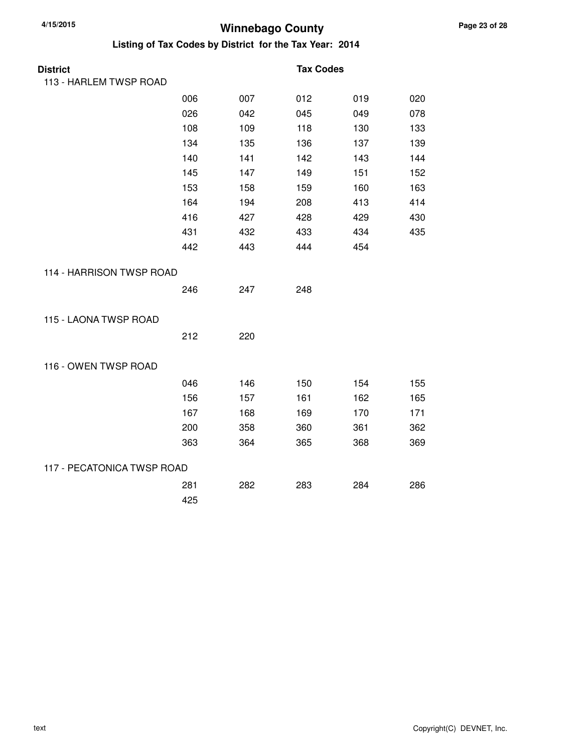| <b>District</b>            |     |     | <b>Tax Codes</b> |     |     |
|----------------------------|-----|-----|------------------|-----|-----|
| 113 - HARLEM TWSP ROAD     |     |     |                  |     |     |
|                            | 006 | 007 | 012              | 019 | 020 |
|                            | 026 | 042 | 045              | 049 | 078 |
|                            | 108 | 109 | 118              | 130 | 133 |
|                            | 134 | 135 | 136              | 137 | 139 |
|                            | 140 | 141 | 142              | 143 | 144 |
|                            | 145 | 147 | 149              | 151 | 152 |
|                            | 153 | 158 | 159              | 160 | 163 |
|                            | 164 | 194 | 208              | 413 | 414 |
|                            | 416 | 427 | 428              | 429 | 430 |
|                            | 431 | 432 | 433              | 434 | 435 |
|                            | 442 | 443 | 444              | 454 |     |
| 114 - HARRISON TWSP ROAD   |     |     |                  |     |     |
|                            | 246 | 247 | 248              |     |     |
| 115 - LAONA TWSP ROAD      |     |     |                  |     |     |
|                            | 212 | 220 |                  |     |     |
| 116 - OWEN TWSP ROAD       |     |     |                  |     |     |
|                            | 046 | 146 | 150              | 154 | 155 |
|                            | 156 | 157 | 161              | 162 | 165 |
|                            | 167 | 168 | 169              | 170 | 171 |
|                            | 200 | 358 | 360              | 361 | 362 |
|                            | 363 | 364 | 365              | 368 | 369 |
| 117 - PECATONICA TWSP ROAD |     |     |                  |     |     |
|                            | 281 | 282 | 283              | 284 | 286 |
|                            | 425 |     |                  |     |     |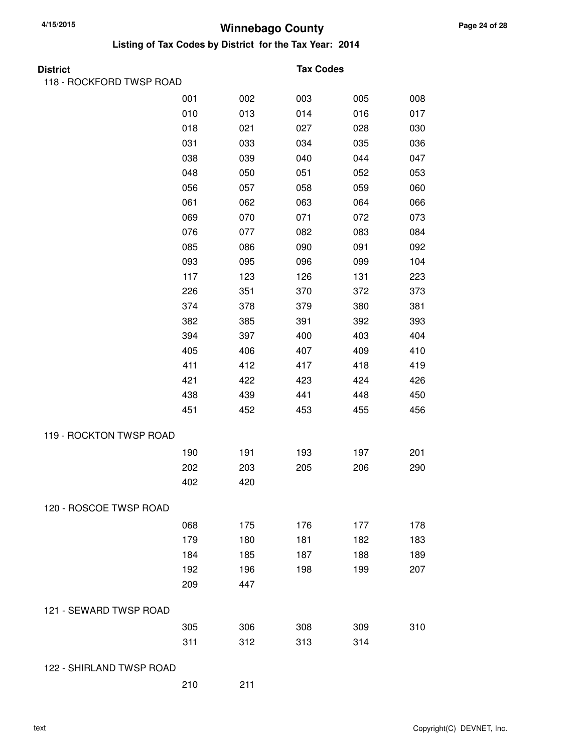**Listing of Tax Codes by District for the Tax Year: 2014**

| 118 - ROCKFORD TWSP ROAD<br>001<br>008<br>002<br>003<br>005<br>010<br>013<br>014<br>016<br>017<br>018<br>021<br>030<br>027<br>028<br>031<br>036<br>033<br>034<br>035<br>038<br>039<br>044<br>047<br>040<br>048<br>053<br>050<br>051<br>052<br>056<br>057<br>058<br>059<br>060<br>061<br>062<br>064<br>066<br>063<br>069<br>073<br>070<br>071<br>072<br>076<br>084<br>077<br>082<br>083<br>085<br>090<br>091<br>092<br>086<br>104<br>093<br>095<br>096<br>099<br>117<br>123<br>126<br>131<br>223<br>226<br>351<br>370<br>372<br>373<br>374<br>381<br>378<br>379<br>380<br>382<br>385<br>393<br>391<br>392<br>394<br>397<br>400<br>403<br>404<br>405<br>406<br>407<br>409<br>410<br>411<br>412<br>418<br>419<br>417<br>421<br>426<br>422<br>423<br>424<br>438<br>439<br>448<br>450<br>441<br>451<br>452<br>456<br>453<br>455<br>119 - ROCKTON TWSP ROAD<br>190<br>191<br>193<br>197<br>201<br>202<br>203<br>205<br>206<br>290<br>402<br>420<br>120 - ROSCOE TWSP ROAD<br>068<br>175<br>176<br>178<br>177<br>179<br>180<br>181<br>182<br>183<br>184<br>185<br>188<br>189<br>187<br>192<br>196<br>198<br>199<br>207<br>209<br>447<br>121 - SEWARD TWSP ROAD<br>305<br>306<br>308<br>310<br>309<br>311<br>312<br>313<br>314<br>122 - SHIRLAND TWSP ROAD | <b>District</b> |  | <b>Tax Codes</b> |  |
|----------------------------------------------------------------------------------------------------------------------------------------------------------------------------------------------------------------------------------------------------------------------------------------------------------------------------------------------------------------------------------------------------------------------------------------------------------------------------------------------------------------------------------------------------------------------------------------------------------------------------------------------------------------------------------------------------------------------------------------------------------------------------------------------------------------------------------------------------------------------------------------------------------------------------------------------------------------------------------------------------------------------------------------------------------------------------------------------------------------------------------------------------------------------------------------------------------------------------------------------------|-----------------|--|------------------|--|
|                                                                                                                                                                                                                                                                                                                                                                                                                                                                                                                                                                                                                                                                                                                                                                                                                                                                                                                                                                                                                                                                                                                                                                                                                                                    |                 |  |                  |  |
|                                                                                                                                                                                                                                                                                                                                                                                                                                                                                                                                                                                                                                                                                                                                                                                                                                                                                                                                                                                                                                                                                                                                                                                                                                                    |                 |  |                  |  |
|                                                                                                                                                                                                                                                                                                                                                                                                                                                                                                                                                                                                                                                                                                                                                                                                                                                                                                                                                                                                                                                                                                                                                                                                                                                    |                 |  |                  |  |
|                                                                                                                                                                                                                                                                                                                                                                                                                                                                                                                                                                                                                                                                                                                                                                                                                                                                                                                                                                                                                                                                                                                                                                                                                                                    |                 |  |                  |  |
|                                                                                                                                                                                                                                                                                                                                                                                                                                                                                                                                                                                                                                                                                                                                                                                                                                                                                                                                                                                                                                                                                                                                                                                                                                                    |                 |  |                  |  |
|                                                                                                                                                                                                                                                                                                                                                                                                                                                                                                                                                                                                                                                                                                                                                                                                                                                                                                                                                                                                                                                                                                                                                                                                                                                    |                 |  |                  |  |
|                                                                                                                                                                                                                                                                                                                                                                                                                                                                                                                                                                                                                                                                                                                                                                                                                                                                                                                                                                                                                                                                                                                                                                                                                                                    |                 |  |                  |  |
|                                                                                                                                                                                                                                                                                                                                                                                                                                                                                                                                                                                                                                                                                                                                                                                                                                                                                                                                                                                                                                                                                                                                                                                                                                                    |                 |  |                  |  |
|                                                                                                                                                                                                                                                                                                                                                                                                                                                                                                                                                                                                                                                                                                                                                                                                                                                                                                                                                                                                                                                                                                                                                                                                                                                    |                 |  |                  |  |
|                                                                                                                                                                                                                                                                                                                                                                                                                                                                                                                                                                                                                                                                                                                                                                                                                                                                                                                                                                                                                                                                                                                                                                                                                                                    |                 |  |                  |  |
|                                                                                                                                                                                                                                                                                                                                                                                                                                                                                                                                                                                                                                                                                                                                                                                                                                                                                                                                                                                                                                                                                                                                                                                                                                                    |                 |  |                  |  |
|                                                                                                                                                                                                                                                                                                                                                                                                                                                                                                                                                                                                                                                                                                                                                                                                                                                                                                                                                                                                                                                                                                                                                                                                                                                    |                 |  |                  |  |
|                                                                                                                                                                                                                                                                                                                                                                                                                                                                                                                                                                                                                                                                                                                                                                                                                                                                                                                                                                                                                                                                                                                                                                                                                                                    |                 |  |                  |  |
|                                                                                                                                                                                                                                                                                                                                                                                                                                                                                                                                                                                                                                                                                                                                                                                                                                                                                                                                                                                                                                                                                                                                                                                                                                                    |                 |  |                  |  |
|                                                                                                                                                                                                                                                                                                                                                                                                                                                                                                                                                                                                                                                                                                                                                                                                                                                                                                                                                                                                                                                                                                                                                                                                                                                    |                 |  |                  |  |
|                                                                                                                                                                                                                                                                                                                                                                                                                                                                                                                                                                                                                                                                                                                                                                                                                                                                                                                                                                                                                                                                                                                                                                                                                                                    |                 |  |                  |  |
|                                                                                                                                                                                                                                                                                                                                                                                                                                                                                                                                                                                                                                                                                                                                                                                                                                                                                                                                                                                                                                                                                                                                                                                                                                                    |                 |  |                  |  |
|                                                                                                                                                                                                                                                                                                                                                                                                                                                                                                                                                                                                                                                                                                                                                                                                                                                                                                                                                                                                                                                                                                                                                                                                                                                    |                 |  |                  |  |
|                                                                                                                                                                                                                                                                                                                                                                                                                                                                                                                                                                                                                                                                                                                                                                                                                                                                                                                                                                                                                                                                                                                                                                                                                                                    |                 |  |                  |  |
|                                                                                                                                                                                                                                                                                                                                                                                                                                                                                                                                                                                                                                                                                                                                                                                                                                                                                                                                                                                                                                                                                                                                                                                                                                                    |                 |  |                  |  |
|                                                                                                                                                                                                                                                                                                                                                                                                                                                                                                                                                                                                                                                                                                                                                                                                                                                                                                                                                                                                                                                                                                                                                                                                                                                    |                 |  |                  |  |
|                                                                                                                                                                                                                                                                                                                                                                                                                                                                                                                                                                                                                                                                                                                                                                                                                                                                                                                                                                                                                                                                                                                                                                                                                                                    |                 |  |                  |  |
|                                                                                                                                                                                                                                                                                                                                                                                                                                                                                                                                                                                                                                                                                                                                                                                                                                                                                                                                                                                                                                                                                                                                                                                                                                                    |                 |  |                  |  |
|                                                                                                                                                                                                                                                                                                                                                                                                                                                                                                                                                                                                                                                                                                                                                                                                                                                                                                                                                                                                                                                                                                                                                                                                                                                    |                 |  |                  |  |
|                                                                                                                                                                                                                                                                                                                                                                                                                                                                                                                                                                                                                                                                                                                                                                                                                                                                                                                                                                                                                                                                                                                                                                                                                                                    |                 |  |                  |  |
|                                                                                                                                                                                                                                                                                                                                                                                                                                                                                                                                                                                                                                                                                                                                                                                                                                                                                                                                                                                                                                                                                                                                                                                                                                                    |                 |  |                  |  |
|                                                                                                                                                                                                                                                                                                                                                                                                                                                                                                                                                                                                                                                                                                                                                                                                                                                                                                                                                                                                                                                                                                                                                                                                                                                    |                 |  |                  |  |
|                                                                                                                                                                                                                                                                                                                                                                                                                                                                                                                                                                                                                                                                                                                                                                                                                                                                                                                                                                                                                                                                                                                                                                                                                                                    |                 |  |                  |  |
|                                                                                                                                                                                                                                                                                                                                                                                                                                                                                                                                                                                                                                                                                                                                                                                                                                                                                                                                                                                                                                                                                                                                                                                                                                                    |                 |  |                  |  |
|                                                                                                                                                                                                                                                                                                                                                                                                                                                                                                                                                                                                                                                                                                                                                                                                                                                                                                                                                                                                                                                                                                                                                                                                                                                    |                 |  |                  |  |
|                                                                                                                                                                                                                                                                                                                                                                                                                                                                                                                                                                                                                                                                                                                                                                                                                                                                                                                                                                                                                                                                                                                                                                                                                                                    |                 |  |                  |  |
|                                                                                                                                                                                                                                                                                                                                                                                                                                                                                                                                                                                                                                                                                                                                                                                                                                                                                                                                                                                                                                                                                                                                                                                                                                                    |                 |  |                  |  |
|                                                                                                                                                                                                                                                                                                                                                                                                                                                                                                                                                                                                                                                                                                                                                                                                                                                                                                                                                                                                                                                                                                                                                                                                                                                    |                 |  |                  |  |
|                                                                                                                                                                                                                                                                                                                                                                                                                                                                                                                                                                                                                                                                                                                                                                                                                                                                                                                                                                                                                                                                                                                                                                                                                                                    |                 |  |                  |  |
|                                                                                                                                                                                                                                                                                                                                                                                                                                                                                                                                                                                                                                                                                                                                                                                                                                                                                                                                                                                                                                                                                                                                                                                                                                                    |                 |  |                  |  |
|                                                                                                                                                                                                                                                                                                                                                                                                                                                                                                                                                                                                                                                                                                                                                                                                                                                                                                                                                                                                                                                                                                                                                                                                                                                    |                 |  |                  |  |
|                                                                                                                                                                                                                                                                                                                                                                                                                                                                                                                                                                                                                                                                                                                                                                                                                                                                                                                                                                                                                                                                                                                                                                                                                                                    |                 |  |                  |  |

210 211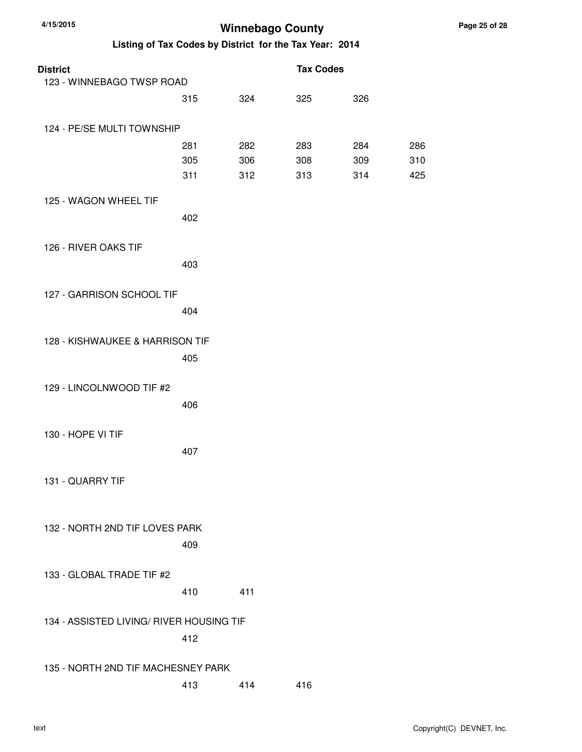| <b>District</b><br>123 - WINNEBAGO TWSP ROAD |     |     | <b>Tax Codes</b> |     |     |
|----------------------------------------------|-----|-----|------------------|-----|-----|
|                                              | 315 | 324 | 325              | 326 |     |
| 124 - PE/SE MULTI TOWNSHIP                   |     |     |                  |     |     |
|                                              | 281 | 282 | 283              | 284 | 286 |
|                                              | 305 | 306 | 308              | 309 | 310 |
|                                              | 311 | 312 | 313              | 314 | 425 |
| 125 - WAGON WHEEL TIF                        |     |     |                  |     |     |
|                                              | 402 |     |                  |     |     |
| 126 - RIVER OAKS TIF                         |     |     |                  |     |     |
|                                              | 403 |     |                  |     |     |
| 127 - GARRISON SCHOOL TIF                    |     |     |                  |     |     |
|                                              | 404 |     |                  |     |     |
|                                              |     |     |                  |     |     |
| 128 - KISHWAUKEE & HARRISON TIF              |     |     |                  |     |     |
|                                              | 405 |     |                  |     |     |
|                                              |     |     |                  |     |     |
| 129 - LINCOLNWOOD TIF #2                     |     |     |                  |     |     |
|                                              | 406 |     |                  |     |     |
| 130 - HOPE VI TIF                            |     |     |                  |     |     |
|                                              | 407 |     |                  |     |     |
|                                              |     |     |                  |     |     |
| 131 - QUARRY TIF                             |     |     |                  |     |     |
|                                              |     |     |                  |     |     |
| 132 - NORTH 2ND TIF LOVES PARK               |     |     |                  |     |     |
|                                              | 409 |     |                  |     |     |
|                                              |     |     |                  |     |     |
| 133 - GLOBAL TRADE TIF #2                    |     |     |                  |     |     |
|                                              | 410 | 411 |                  |     |     |
|                                              |     |     |                  |     |     |
| 134 - ASSISTED LIVING/ RIVER HOUSING TIF     | 412 |     |                  |     |     |
|                                              |     |     |                  |     |     |
| 135 - NORTH 2ND TIF MACHESNEY PARK           |     |     |                  |     |     |
|                                              | 413 | 414 | 416              |     |     |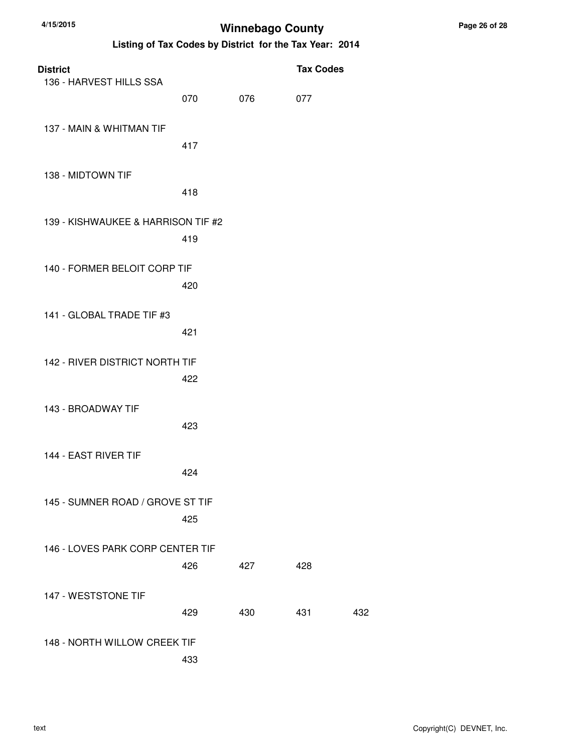| <b>District</b>                    |     |     | <b>Tax Codes</b> |     |
|------------------------------------|-----|-----|------------------|-----|
| 136 - HARVEST HILLS SSA            | 070 | 076 | 077              |     |
| 137 - MAIN & WHITMAN TIF           | 417 |     |                  |     |
| 138 - MIDTOWN TIF                  | 418 |     |                  |     |
| 139 - KISHWAUKEE & HARRISON TIF #2 | 419 |     |                  |     |
| 140 - FORMER BELOIT CORP TIF       | 420 |     |                  |     |
| 141 - GLOBAL TRADE TIF #3          | 421 |     |                  |     |
| 142 - RIVER DISTRICT NORTH TIF     | 422 |     |                  |     |
| 143 - BROADWAY TIF                 | 423 |     |                  |     |
| 144 - EAST RIVER TIF               | 424 |     |                  |     |
| 145 - SUMNER ROAD / GROVE ST TIF   | 425 |     |                  |     |
| 146 - LOVES PARK CORP CENTER TIF   | 426 | 427 | 428              |     |
| 147 - WESTSTONE TIF                | 429 | 430 | 431              | 432 |
| 148 - NORTH WILLOW CREEK TIF       | 433 |     |                  |     |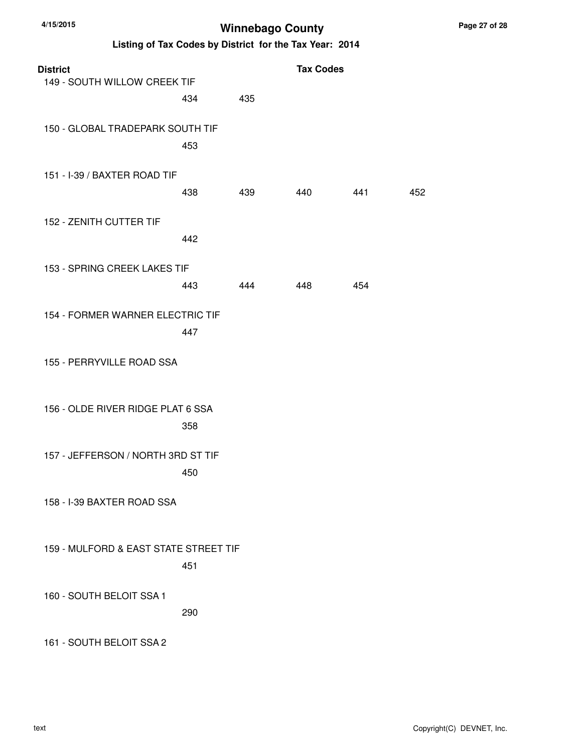| <b>District</b><br>149 - SOUTH WILLOW CREEK TIF |     |     | <b>Tax Codes</b> |     |     |
|-------------------------------------------------|-----|-----|------------------|-----|-----|
|                                                 | 434 | 435 |                  |     |     |
| 150 - GLOBAL TRADEPARK SOUTH TIF                | 453 |     |                  |     |     |
| 151 - I-39 / BAXTER ROAD TIF                    | 438 | 439 | 440              | 441 | 452 |
| 152 - ZENITH CUTTER TIF                         | 442 |     |                  |     |     |
| 153 - SPRING CREEK LAKES TIF                    | 443 | 444 | 448              | 454 |     |
| 154 - FORMER WARNER ELECTRIC TIF                | 447 |     |                  |     |     |
| 155 - PERRYVILLE ROAD SSA                       |     |     |                  |     |     |
| 156 - OLDE RIVER RIDGE PLAT 6 SSA               | 358 |     |                  |     |     |
| 157 - JEFFERSON / NORTH 3RD ST TIF              | 450 |     |                  |     |     |
| 158 - I-39 BAXTER ROAD SSA                      |     |     |                  |     |     |
| 159 - MULFORD & EAST STATE STREET TIF           | 451 |     |                  |     |     |
| 160 - SOUTH BELOIT SSA 1                        | 290 |     |                  |     |     |
| 161 - SOUTH BELOIT SSA 2                        |     |     |                  |     |     |